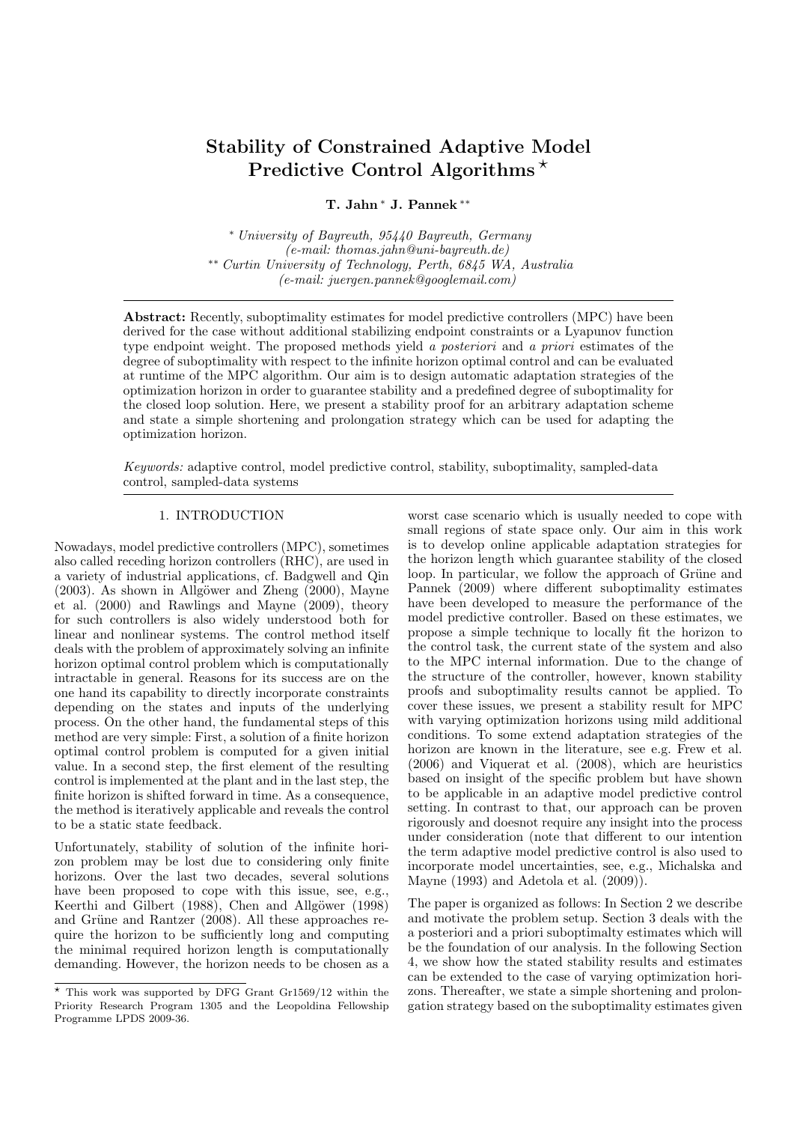# Stability of Constrained Adaptive Model Predictive Control Algorithms<sup>\*</sup>

## T. Jahn <sup>∗</sup> J. Pannek ∗∗

<sup>∗</sup> University of Bayreuth, 95440 Bayreuth, Germany (e-mail: thomas.jahn@uni-bayreuth.de) ∗∗ Curtin University of Technology, Perth, 6845 WA, Australia (e-mail: juergen.pannek@googlemail.com)

Abstract: Recently, suboptimality estimates for model predictive controllers (MPC) have been derived for the case without additional stabilizing endpoint constraints or a Lyapunov function type endpoint weight. The proposed methods yield a posteriori and a priori estimates of the degree of suboptimality with respect to the infinite horizon optimal control and can be evaluated at runtime of the MPC algorithm. Our aim is to design automatic adaptation strategies of the optimization horizon in order to guarantee stability and a predefined degree of suboptimality for the closed loop solution. Here, we present a stability proof for an arbitrary adaptation scheme and state a simple shortening and prolongation strategy which can be used for adapting the optimization horizon.

Keywords: adaptive control, model predictive control, stability, suboptimality, sampled-data control, sampled-data systems

## 1. INTRODUCTION

Nowadays, model predictive controllers (MPC), sometimes also called receding horizon controllers (RHC), are used in a variety of industrial applications, cf. Badgwell and Qin  $(2003)$ . As shown in Allgöwer and Zheng  $(2000)$ , Mayne et al. (2000) and Rawlings and Mayne (2009), theory for such controllers is also widely understood both for linear and nonlinear systems. The control method itself deals with the problem of approximately solving an infinite horizon optimal control problem which is computationally intractable in general. Reasons for its success are on the one hand its capability to directly incorporate constraints depending on the states and inputs of the underlying process. On the other hand, the fundamental steps of this method are very simple: First, a solution of a finite horizon optimal control problem is computed for a given initial value. In a second step, the first element of the resulting control is implemented at the plant and in the last step, the finite horizon is shifted forward in time. As a consequence, the method is iteratively applicable and reveals the control to be a static state feedback.

Unfortunately, stability of solution of the infinite horizon problem may be lost due to considering only finite horizons. Over the last two decades, several solutions have been proposed to cope with this issue, see, e.g., Keerthi and Gilbert (1988), Chen and Allgöwer (1998) and Grüne and Rantzer (2008). All these approaches require the horizon to be sufficiently long and computing the minimal required horizon length is computationally demanding. However, the horizon needs to be chosen as a

worst case scenario which is usually needed to cope with small regions of state space only. Our aim in this work is to develop online applicable adaptation strategies for the horizon length which guarantee stability of the closed loop. In particular, we follow the approach of Grüne and Pannek (2009) where different suboptimality estimates have been developed to measure the performance of the model predictive controller. Based on these estimates, we propose a simple technique to locally fit the horizon to the control task, the current state of the system and also to the MPC internal information. Due to the change of the structure of the controller, however, known stability proofs and suboptimality results cannot be applied. To cover these issues, we present a stability result for MPC with varying optimization horizons using mild additional conditions. To some extend adaptation strategies of the horizon are known in the literature, see e.g. Frew et al. (2006) and Viquerat et al. (2008), which are heuristics based on insight of the specific problem but have shown to be applicable in an adaptive model predictive control setting. In contrast to that, our approach can be proven rigorously and doesnot require any insight into the process under consideration (note that different to our intention the term adaptive model predictive control is also used to incorporate model uncertainties, see, e.g., Michalska and Mayne (1993) and Adetola et al. (2009)).

The paper is organized as follows: In Section 2 we describe and motivate the problem setup. Section 3 deals with the a posteriori and a priori suboptimalty estimates which will be the foundation of our analysis. In the following Section 4, we show how the stated stability results and estimates can be extended to the case of varying optimization horizons. Thereafter, we state a simple shortening and prolongation strategy based on the suboptimality estimates given

 $*$  This work was supported by DFG Grant Gr1569/12 within the Priority Research Program 1305 and the Leopoldina Fellowship Programme LPDS 2009-36.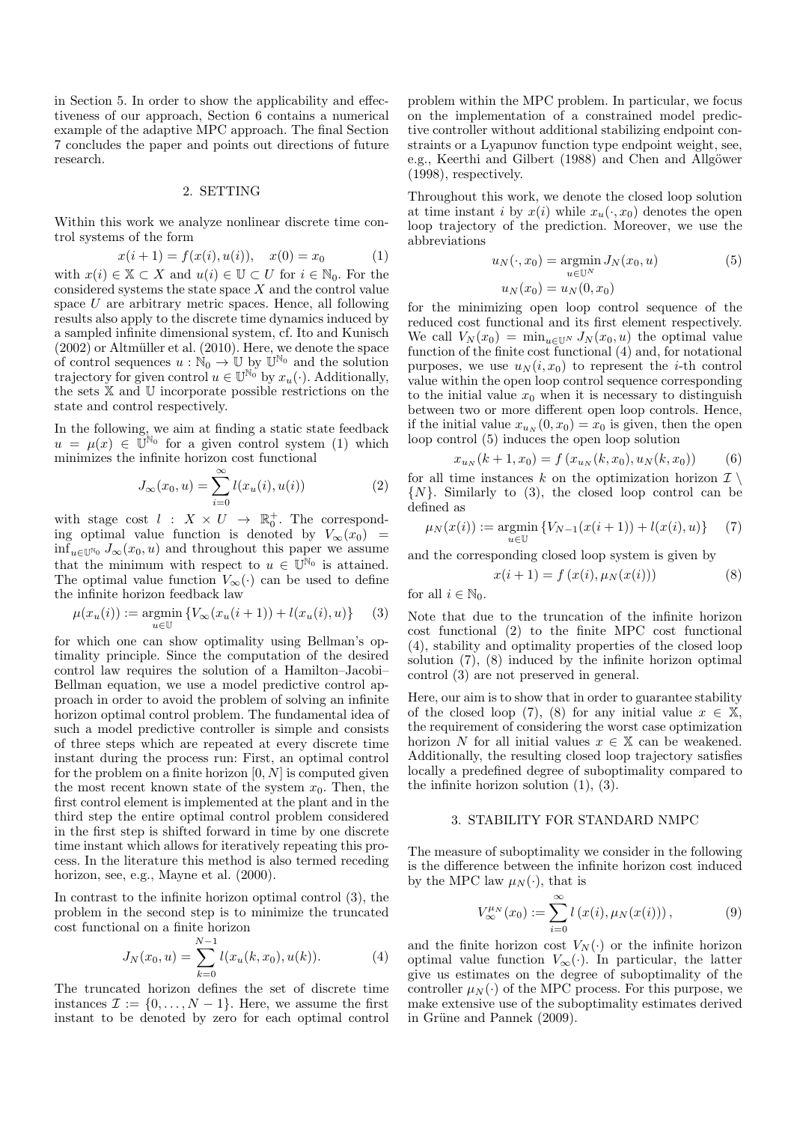in Section 5. In order to show the applicability and effectiveness of our approach, Section 6 contains a numerical example of the adaptive MPC approach. The final Section 7 concludes the paper and points out directions of future research.

#### 2. SETTING

Within this work we analyze nonlinear discrete time control systems of the form

$$
x(i + 1) = f(x(i), u(i)), \quad x(0) = x_0 \tag{1}
$$

with  $x(i) \in \mathbb{X} \subset X$  and  $u(i) \in \mathbb{U} \subset U$  for  $i \in \mathbb{N}_0$ . For the considered systems the state space  $X$  and the control value space  $U$  are arbitrary metric spaces. Hence, all following results also apply to the discrete time dynamics induced by a sampled infinite dimensional system, cf. Ito and Kunisch  $(2002)$  or Altmüller et al.  $(2010)$ . Here, we denote the space of control sequences  $u : \mathbb{N}_0 \to \mathbb{U}$  by  $\mathbb{U}^{\mathbb{N}_0}$  and the solution trajectory for given control  $u \in \mathbb{U}^{\mathbb{N}_0}$  by  $x_u(\cdot)$ . Additionally, the sets X and U incorporate possible restrictions on the state and control respectively.

In the following, we aim at finding a static state feedback  $u = \mu(x) \in \tilde{\mathbb{U}}^{\mathbb{N}_0}$  for a given control system (1) which minimizes the infinite horizon cost functional

$$
J_{\infty}(x_0, u) = \sum_{i=0}^{\infty} l(x_u(i), u(i))
$$
 (2)

with stage cost  $l : X \times U \rightarrow \mathbb{R}^+_0$ . The corresponding optimal value function is denoted by  $V_{\infty}(x_0)$  =  $\inf_{u \in \mathbb{U}^{\mathbb{N}_0}} J_{\infty}(x_0, u)$  and throughout this paper we assume that the minimum with respect to  $u \in \mathbb{U}^{\mathbb{N}_0}$  is attained. The optimal value function  $V_{\infty}(\cdot)$  can be used to define the infinite horizon feedback law

$$
\mu(x_u(i)) := \operatorname*{argmin}_{u \in \mathbb{U}} \{ V_{\infty}(x_u(i+1)) + l(x_u(i), u) \} \tag{3}
$$

for which one can show optimality using Bellman's optimality principle. Since the computation of the desired control law requires the solution of a Hamilton–Jacobi– Bellman equation, we use a model predictive control approach in order to avoid the problem of solving an infinite horizon optimal control problem. The fundamental idea of such a model predictive controller is simple and consists of three steps which are repeated at every discrete time instant during the process run: First, an optimal control for the problem on a finite horizon  $[0, N]$  is computed given the most recent known state of the system  $x_0$ . Then, the first control element is implemented at the plant and in the third step the entire optimal control problem considered in the first step is shifted forward in time by one discrete time instant which allows for iteratively repeating this process. In the literature this method is also termed receding horizon, see, e.g., Mayne et al. (2000).

In contrast to the infinite horizon optimal control (3), the problem in the second step is to minimize the truncated cost functional on a finite horizon

$$
J_N(x_0, u) = \sum_{k=0}^{N-1} l(x_u(k, x_0), u(k)).
$$
 (4)

The truncated horizon defines the set of discrete time instances  $\mathcal{I} := \{0, \ldots, N-1\}$ . Here, we assume the first instant to be denoted by zero for each optimal control problem within the MPC problem. In particular, we focus on the implementation of a constrained model predictive controller without additional stabilizing endpoint constraints or a Lyapunov function type endpoint weight, see, e.g., Keerthi and Gilbert (1988) and Chen and Allgöwer (1998), respectively.

Throughout this work, we denote the closed loop solution at time instant i by  $x(i)$  while  $x_u(\cdot, x_0)$  denotes the open loop trajectory of the prediction. Moreover, we use the abbreviations

$$
u_N(\cdot, x_0) = \operatorname*{argmin}_{u \in \mathbb{U}^N} J_N(x_0, u)
$$
 (5)

$$
u_N(x_0) = u_N(0, x_0)
$$

for the minimizing open loop control sequence of the reduced cost functional and its first element respectively. We call  $V_N(x_0) = \min_{u \in \mathbb{U}^N} J_N(x_0, u)$  the optimal value function of the finite cost functional (4) and, for notational purposes, we use  $u_N(i, x_0)$  to represent the *i*-th control value within the open loop control sequence corresponding to the initial value  $x_0$  when it is necessary to distinguish between two or more different open loop controls. Hence, if the initial value  $x_{u_N}(0, x_0) = x_0$  is given, then the open loop control (5) induces the open loop solution

$$
x_{u_N}(k+1, x_0) = f(x_{u_N}(k, x_0), u_N(k, x_0))
$$
 (6)

for all time instances k on the optimization horizon  $\mathcal{I} \setminus$  $\{N\}$ . Similarly to (3), the closed loop control can be defined as

$$
\mu_N(x(i)) := \operatorname*{argmin}_{u \in \mathbb{U}} \{ V_{N-1}(x(i+1)) + l(x(i), u) \} \tag{7}
$$

and the corresponding closed loop system is given by

$$
x(i + 1) = f(x(i), \mu_N(x(i)))
$$
 (8)

for all  $i \in \mathbb{N}_0$ .

Note that due to the truncation of the infinite horizon cost functional (2) to the finite MPC cost functional (4), stability and optimality properties of the closed loop solution (7), (8) induced by the infinite horizon optimal control (3) are not preserved in general.

Here, our aim is to show that in order to guarantee stability of the closed loop (7), (8) for any initial value  $x \in \mathbb{X}$ , the requirement of considering the worst case optimization horizon N for all initial values  $x \in \mathbb{X}$  can be weakened. Additionally, the resulting closed loop trajectory satisfies locally a predefined degree of suboptimality compared to the infinite horizon solution (1), (3).

#### 3. STABILITY FOR STANDARD NMPC

The measure of suboptimality we consider in the following is the difference between the infinite horizon cost induced by the MPC law  $\mu_N(\cdot)$ , that is

$$
V_{\infty}^{\mu_N}(x_0) := \sum_{i=0}^{\infty} l(x(i), \mu_N(x(i))), \qquad (9)
$$

and the finite horizon cost  $V_N(\cdot)$  or the infinite horizon optimal value function  $V_{\infty}(\cdot)$ . In particular, the latter give us estimates on the degree of suboptimality of the controller  $\mu_N(\cdot)$  of the MPC process. For this purpose, we make extensive use of the suboptimality estimates derived in Grüne and Pannek (2009).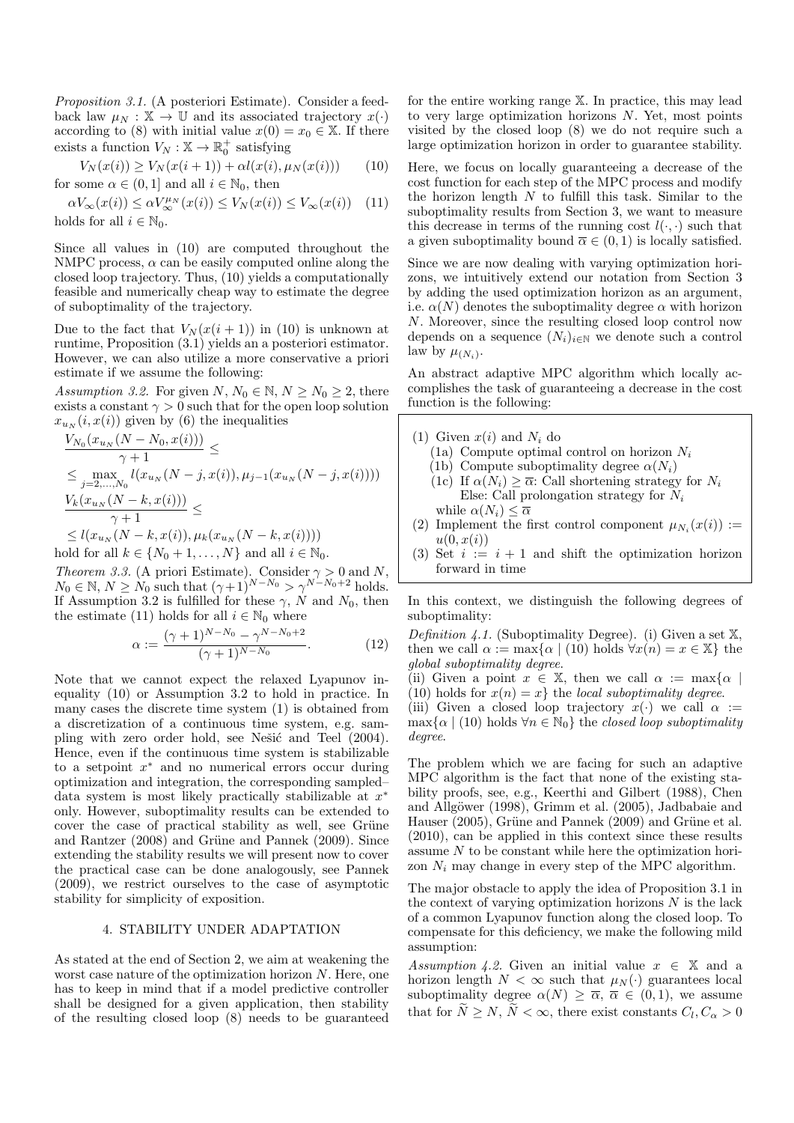Proposition 3.1. (A posteriori Estimate). Consider a feedback law  $\mu_N : \mathbb{X} \to \mathbb{U}$  and its associated trajectory  $x(\cdot)$ according to (8) with initial value  $x(0) = x_0 \in \mathbb{X}$ . If there exists a function  $V_N : \mathbb{X} \to \mathbb{R}_0^+$  satisfying

$$
V_N(x(i)) \ge V_N(x(i+1)) + \alpha l(x(i), \mu_N(x(i))) \tag{10}
$$

for some  $\alpha \in (0,1]$  and all  $i \in \mathbb{N}_0$ , then  $\alpha V_{\infty}(x(i)) \leq \alpha V_{\infty}^{\mu_N}(x(i)) \leq V_N(x(i)) \leq V_{\infty}(x(i))$  (11)

holds for all  $i \in \mathbb{N}_0$ .

Since all values in (10) are computed throughout the NMPC process,  $\alpha$  can be easily computed online along the closed loop trajectory. Thus, (10) yields a computationally feasible and numerically cheap way to estimate the degree of suboptimality of the trajectory.

Due to the fact that  $V_N(x(i + 1))$  in (10) is unknown at runtime, Proposition (3.1) yields an a posteriori estimator. However, we can also utilize a more conservative a priori estimate if we assume the following:

Assumption 3.2. For given  $N, N_0 \in \mathbb{N}, N \ge N_0 \ge 2$ , there exists a constant  $\gamma > 0$  such that for the open loop solution  $x_{u_N}(i, x(i))$  given by (6) the inequalities

$$
\frac{V_{N_0}(x_{u_N}(N - N_0, x(i)))}{\gamma + 1} \le
$$
\n
$$
\le \max_{j=2,\dots,N_0} l(x_{u_N}(N - j, x(i)), \mu_{j-1}(x_{u_N}(N - j, x(i))))
$$
\n
$$
\frac{V_k(x_{u_N}(N - k, x(i)))}{\gamma + 1} \le
$$
\n
$$
\le l(x_{u_N}(N - k, x(i)), \mu_k(x_{u_N}(N - k, x(i))))
$$

hold for all  $k \in \{N_0 + 1, \ldots, N\}$  and all  $i \in \mathbb{N}_0$ .

Theorem 3.3. (A priori Estimate). Consider  $\gamma > 0$  and N,  $N_0 \in \mathbb{N}, N \geq N_0$  such that  $(\gamma+1)^{N-N_0} > \gamma^{N-N_0+2}$  holds. If Assumption 3.2 is fulfilled for these  $\gamma$ , N and N<sub>0</sub>, then the estimate (11) holds for all  $i \in \mathbb{N}_0$  where

$$
\alpha := \frac{(\gamma + 1)^{N - N_0} - \gamma^{N - N_0 + 2}}{(\gamma + 1)^{N - N_0}}.
$$
\n(12)

Note that we cannot expect the relaxed Lyapunov inequality (10) or Assumption 3.2 to hold in practice. In many cases the discrete time system (1) is obtained from a discretization of a continuous time system, e.g. sampling with zero order hold, see Nešić and Teel (2004). Hence, even if the continuous time system is stabilizable to a setpoint  $x^*$  and no numerical errors occur during optimization and integration, the corresponding sampled– data system is most likely practically stabilizable at  $x^*$ only. However, suboptimality results can be extended to cover the case of practical stability as well, see Grüne and Rantzer  $(2008)$  and Grüne and Pannek  $(2009)$ . Since extending the stability results we will present now to cover the practical case can be done analogously, see Pannek (2009), we restrict ourselves to the case of asymptotic stability for simplicity of exposition.

## 4. STABILITY UNDER ADAPTATION

As stated at the end of Section 2, we aim at weakening the worst case nature of the optimization horizon N. Here, one has to keep in mind that if a model predictive controller shall be designed for a given application, then stability of the resulting closed loop (8) needs to be guaranteed

for the entire working range X. In practice, this may lead to very large optimization horizons N. Yet, most points visited by the closed loop (8) we do not require such a large optimization horizon in order to guarantee stability.

Here, we focus on locally guaranteeing a decrease of the cost function for each step of the MPC process and modify the horizon length  $N$  to fulfill this task. Similar to the suboptimality results from Section 3, we want to measure this decrease in terms of the running cost  $l(\cdot, \cdot)$  such that a given suboptimality bound  $\overline{\alpha} \in (0, 1)$  is locally satisfied.

Since we are now dealing with varying optimization horizons, we intuitively extend our notation from Section 3 by adding the used optimization horizon as an argument, i.e.  $\alpha(N)$  denotes the suboptimality degree  $\alpha$  with horizon N. Moreover, since the resulting closed loop control now depends on a sequence  $(N_i)_{i\in\mathbb{N}}$  we denote such a control law by  $\mu_{(N_i)}$ .

An abstract adaptive MPC algorithm which locally accomplishes the task of guaranteeing a decrease in the cost function is the following:

- (1) Given  $x(i)$  and  $N_i$  do
	- (1a) Compute optimal control on horizon  $N_i$
	- (1b) Compute suboptimality degree  $\alpha(N_i)$
	- (1c) If  $\alpha(N_i) \geq \overline{\alpha}$ : Call shortening strategy for  $N_i$ Else: Call prolongation strategy for  $N_i$ while  $\alpha(N_i) \leq \overline{\alpha}$
- (2) Implement the first control component  $\mu_{N_i}(x(i)) :=$  $u(0, x(i))$
- (3) Set  $i := i + 1$  and shift the optimization horizon forward in time

In this context, we distinguish the following degrees of suboptimality:

Definition 4.1. (Suboptimality Degree). (i) Given a set  $X$ , then we call  $\alpha := \max{\alpha | (10) \text{ holds } \forall x(n) = x \in \mathbb{X}}$  the global suboptimality degree.

(ii) Given a point  $x \in \mathbb{X}$ , then we call  $\alpha := \max\{\alpha \mid$ 

(10) holds for  $x(n) = x$  the *local suboptimality degree.* (iii) Given a closed loop trajectory  $x(\cdot)$  we call  $\alpha :=$  $\max{\{\alpha \mid (10) \text{ holds } \forall n \in \mathbb{N}_0\}}$  the closed loop suboptimality degree.

The problem which we are facing for such an adaptive MPC algorithm is the fact that none of the existing stability proofs, see, e.g., Keerthi and Gilbert (1988), Chen and Allgöwer (1998), Grimm et al. (2005), Jadbabaie and Hauser  $(2005)$ , Grüne and Pannek  $(2009)$  and Grüne et al. (2010), can be applied in this context since these results assume  $N$  to be constant while here the optimization horizon  $N_i$  may change in every step of the MPC algorithm.

The major obstacle to apply the idea of Proposition 3.1 in the context of varying optimization horizons  $N$  is the lack of a common Lyapunov function along the closed loop. To compensate for this deficiency, we make the following mild assumption:

Assumption 4.2. Given an initial value  $x \in \mathbb{X}$  and a horizon length  $N < \infty$  such that  $\mu_N(\cdot)$  guarantees local suboptimality degree  $\alpha(N) \geq \overline{\alpha}$ ,  $\overline{\alpha} \in (0,1)$ , we assume that for  $N \ge N$ ,  $N < \infty$ , there exist constants  $C_l, C_\alpha > 0$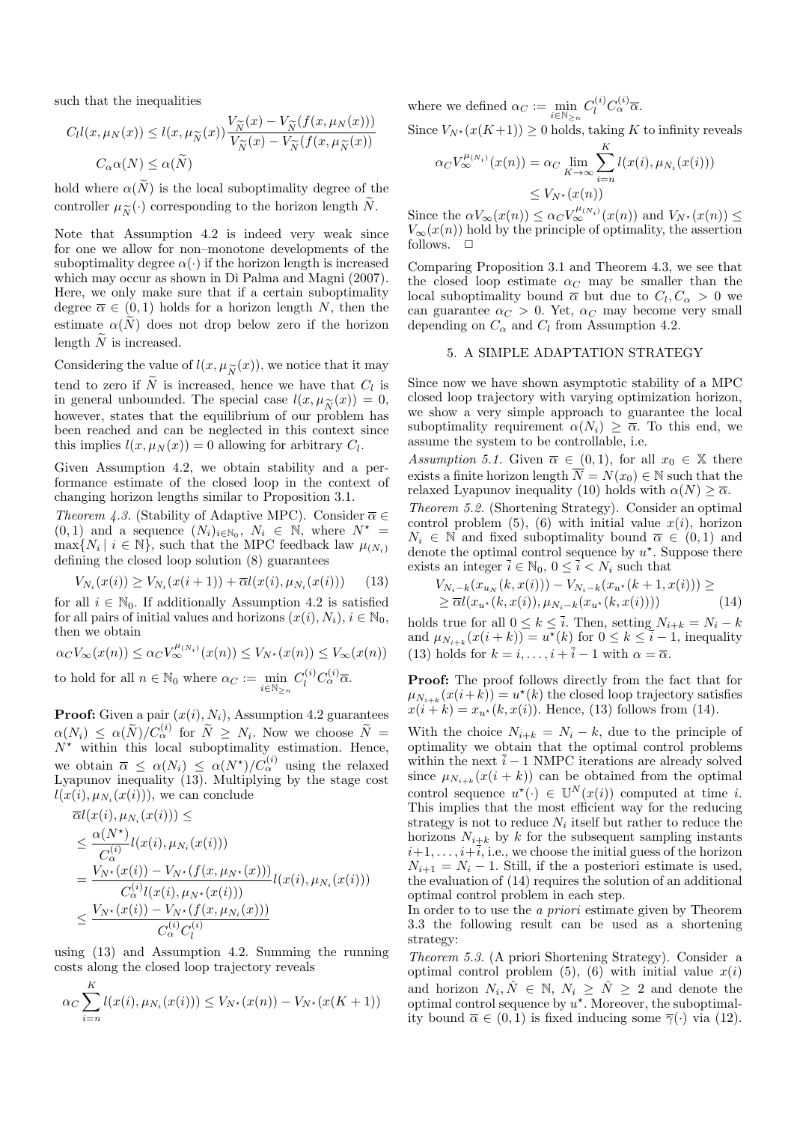such that the inequalities

$$
C_l l(x, \mu_N(x)) \le l(x, \mu_{\widetilde{N}}(x)) \frac{V_{\widetilde{N}}(x) - V_{\widetilde{N}}(f(x, \mu_N(x)))}{V_{\widetilde{N}}(x) - V_{\widetilde{N}}(f(x, \mu_{\widetilde{N}}(x)))}
$$

$$
C_{\alpha} \alpha(N) \le \alpha(\widetilde{N})
$$

hold where  $\alpha(\tilde{N})$  is the local suboptimality degree of the controller  $\mu_{\widetilde{N}}(\cdot)$  corresponding to the horizon length N.

Note that Assumption 4.2 is indeed very weak since for one we allow for non–monotone developments of the suboptimality degree  $\alpha(\cdot)$  if the horizon length is increased which may occur as shown in Di Palma and Magni (2007). Here, we only make sure that if a certain suboptimality degree  $\overline{\alpha} \in (0,1)$  holds for a horizon length N, then the estimate  $\alpha(N)$  does not drop below zero if the horizon length  $\widetilde{N}$  is increased.

Considering the value of  $l(x, \mu_{\widetilde{N}}(x))$ , we notice that it may<br>tend to zero if  $\widetilde{N}$  is increased hence we have that  $C_i$  is tend to zero if N is increased, hence we have that  $C_l$  is in general unbounded. The special case  $l(x, \mu_{\widetilde{N}}(x)) = 0$ , however, states that the equilibrium of our problem has however, states that the equilibrium of our problem has been reached and can be neglected in this context since this implies  $l(x, \mu_N(x)) = 0$  allowing for arbitrary  $C_l$ .

Given Assumption 4.2, we obtain stability and a performance estimate of the closed loop in the context of changing horizon lengths similar to Proposition 3.1.

Theorem 4.3. (Stability of Adaptive MPC). Consider  $\overline{\alpha} \in$  $(0, 1)$  and a sequence  $(N_i)_{i \in \mathbb{N}_0}$ ,  $N_i \in \mathbb{N}$ , where  $N^* =$  $\max\{N_i \mid i \in \mathbb{N}\}\,$ , such that the MPC feedback law  $\mu_{(N_i)}$ defining the closed loop solution (8) guarantees

$$
V_{N_i}(x(i)) \ge V_{N_i}(x(i+1)) + \overline{\alpha}l(x(i), \mu_{N_i}(x(i))) \tag{13}
$$

for all  $i \in \mathbb{N}_0$ . If additionally Assumption 4.2 is satisfied for all pairs of initial values and horizons  $(x(i), N_i), i \in \mathbb{N}_0$ , then we obtain

$$
\alpha_C V_{\infty}(x(n)) \leq \alpha_C V_{\infty}^{\mu(N_i)}(x(n)) \leq V_{N^*}(x(n)) \leq V_{\infty}(x(n))
$$
  
to hold for all  $n \in \mathbb{N}_0$  where  $\alpha_C := \min_{i \in \mathbb{N}_{>n}} C_l^{(i)} C_{\alpha}^{(i)} \overline{\alpha}$ .

**Proof:** Given a pair  $(x(i), N_i)$ , Assumption 4.2 guarantees  $\alpha(N_i) \leq \alpha(\widetilde{N})/C_{\alpha}^{(i)}$  for  $\widetilde{N} \geq N_i$ . Now we choose  $\widetilde{N} = N_i$ .  $N^*$  within this local suboptimality estimation. Hence, we obtain  $\overline{\alpha} \leq \alpha(N_i) \leq \alpha(N^*)/C_{\alpha}^{(i)}$  using the relaxed Lyapunov inequality  $(13)$ . Multiplying by the stage cost  $l(x(i), \mu_{N_i}(x(i))),$  we can conclude

$$
\overline{\alpha}l(x(i), \mu_{N_i}(x(i))) \le
$$
\n
$$
\leq \frac{\alpha(N^*)}{C_{\alpha}^{(i)}}l(x(i), \mu_{N_i}(x(i)))
$$
\n
$$
= \frac{V_{N^*}(x(i)) - V_{N^*}(f(x, \mu_{N^*}(x)))}{C_{\alpha}^{(i)}l(x(i), \mu_{N^*}(x(i)))}l(x(i), \mu_{N_i}(x(i)))
$$
\n
$$
\leq \frac{V_{N^*}(x(i)) - V_{N^*}(f(x, \mu_{N_i}(x)))}{C_{\alpha}^{(i)}C_{\alpha}^{(i)}}
$$

using (13) and Assumption 4.2. Summing the running costs along the closed loop trajectory reveals

$$
\alpha_C \sum_{i=n}^{K} l(x(i), \mu_{N_i}(x(i))) \le V_{N^*}(x(n)) - V_{N^*}(x(K+1))
$$

where we defined  $\alpha_C := \min_{i \in \mathbb{N}_{\ge n}} C_i^{(i)} C_{\alpha}^{(i)} \overline{\alpha}.$ 

Since  $V_{N^*}(x(K+1)) \geq 0$  holds, taking K to infinity reveals

$$
\alpha_C V_{\infty}^{\mu_{(N_i)}}(x(n)) = \alpha_C \lim_{K \to \infty} \sum_{i=n}^{K} l(x(i), \mu_{N_i}(x(i)))
$$
  

$$
\leq V_{N^*}(x(n))
$$

Since the  $\alpha V_{\infty}(x(n)) \leq \alpha_C V_{\infty}^{\mu_{(N_i)}}(x(n))$  and  $V_{N^*}(x(n)) \leq$  $V_{\infty}(x(n))$  hold by the principle of optimality, the assertion follows.  $\Box$ 

Comparing Proposition 3.1 and Theorem 4.3, we see that the closed loop estimate  $\alpha_C$  may be smaller than the local suboptimality bound  $\bar{\alpha}$  but due to  $C_l, C_{\alpha} > 0$  we can guarantee  $\alpha_C > 0$ . Yet,  $\alpha_C$  may become very small depending on  $C_{\alpha}$  and  $C_l$  from Assumption 4.2.

## 5. A SIMPLE ADAPTATION STRATEGY

Since now we have shown asymptotic stability of a MPC closed loop trajectory with varying optimization horizon, we show a very simple approach to guarantee the local suboptimality requirement  $\alpha(N_i) \geq \overline{\alpha}$ . To this end, we assume the system to be controllable, i.e.

Assumption 5.1. Given  $\overline{\alpha} \in (0,1)$ , for all  $x_0 \in \mathbb{X}$  there exists a finite horizon length  $\overline{N} = N(x_0) \in \mathbb{N}$  such that the relaxed Lyapunov inequality (10) holds with  $\alpha(N) \geq \overline{\alpha}$ .

Theorem 5.2. (Shortening Strategy). Consider an optimal control problem  $(5)$ ,  $(6)$  with initial value  $x(i)$ , horizon  $N_i \in \mathbb{N}$  and fixed suboptimality bound  $\overline{\alpha} \in (0,1)$  and denote the optimal control sequence by  $u^*$ . Suppose there exists an integer  $\bar{i} \in \mathbb{N}_0$ ,  $0 \leq \bar{i} \lt N_i$  such that

$$
V_{N_i-k}(x_{u_N}(k, x(i))) - V_{N_i-k}(x_{u^*}(k+1, x(i))) \ge
$$
  
\n
$$
\ge \overline{\alpha} l(x_{u^*}(k, x(i)), \mu_{N_i-k}(x_{u^*}(k, x(i)))) \tag{14}
$$

holds true for all  $0 \leq k \leq \overline{i}$ . Then, setting  $N_{i+k} = N_i - k$ and  $\mu_{N_{i+k}}(x(i+k)) = u^*(k)$  for  $0 \le k \le \overline{i-1}$ , inequality (13) holds for  $k = i, \ldots, i + \overline{i} - 1$  with  $\alpha = \overline{\alpha}$ .

Proof: The proof follows directly from the fact that for  $\mu_{N_{i+k}}(x(i+k)) = u^*(k)$  the closed loop trajectory satisfies  $x(i + k) = x_{u^*}(k, x(i))$ . Hence, (13) follows from (14).

With the choice  $N_{i+k} = N_i - k$ , due to the principle of optimality we obtain that the optimal control problems within the next  $\bar{i} - 1$  NMPC iterations are already solved since  $\mu_{N_{i+k}}(x(i+k))$  can be obtained from the optimal control sequence  $u^*(\cdot) \in \mathbb{U}^N(x(i))$  computed at time *i*. This implies that the most efficient way for the reducing strategy is not to reduce  $N_i$  itself but rather to reduce the horizons  $N_{i+k}$  by k for the subsequent sampling instants  $i+1, \ldots, i+\overline{i}$ , i.e., we choose the initial guess of the horizon  $N_{i+1} = N_i - 1$ . Still, if the a posteriori estimate is used, the evaluation of (14) requires the solution of an additional optimal control problem in each step.

In order to to use the a priori estimate given by Theorem 3.3 the following result can be used as a shortening strategy:

Theorem 5.3. (A priori Shortening Strategy). Consider a optimal control problem (5), (6) with initial value  $x(i)$ and horizon  $N_i, \hat{N} \in \mathbb{N}, N_i \geq \hat{N} \geq 2$  and denote the optimal control sequence by  $u^*$ . Moreover, the suboptimality bound  $\overline{\alpha} \in (0,1)$  is fixed inducing some  $\overline{\gamma}(\cdot)$  via (12).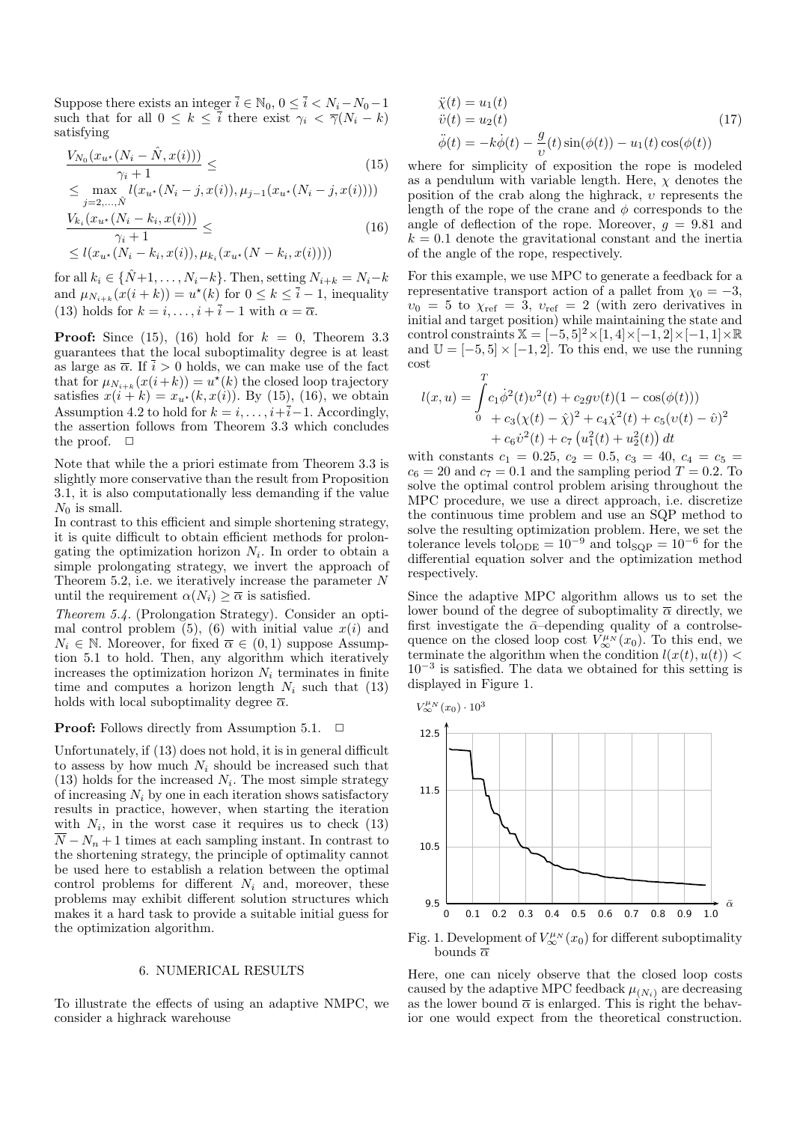Suppose there exists an integer  $\overline{i} \in \mathbb{N}_0, 0 \leq \overline{i} < N_i - N_0 - 1$ such that for all  $0 \leq k \leq \overline{i}$  there exist  $\gamma_i < \overline{\gamma}(N_i - k)$ satisfying

$$
\frac{V_{N_0}(x_{u^*}(N_i - \hat{N}, x(i)))}{\gamma_i + 1} \leq \tag{15}
$$

$$
\leq \max_{j=2,\ldots,\hat{N}} l(x_{u^*}(N_i - j, x(i)), \mu_{j-1}(x_{u^*}(N_i - j, x(i))))
$$
  

$$
\frac{V_{k_i}(x_{u^*}(N_i - k_i, x(i)))}{\gamma_i + 1} \leq \qquad (16)
$$
  

$$
\leq l(x_{u^*}(N_i - k_i, x(i)), \mu_{k_i}(x_{u^*}(N - k_i, x(i))))
$$

for all  $k_i \in {\hat{N}+1, \ldots, N_i-k}$ . Then, setting  $N_{i+k} = N_i-k$ and  $\mu_{N_{i+k}}(x(i+k)) = u^*(k)$  for  $0 \le k \le \overline{i} - 1$ , inequality (13) holds for  $k = i, \ldots, i + \overline{i} - 1$  with  $\alpha = \overline{\alpha}$ .

**Proof:** Since (15), (16) hold for  $k = 0$ , Theorem 3.3 guarantees that the local suboptimality degree is at least as large as  $\overline{\alpha}$ . If  $\overline{i} > 0$  holds, we can make use of the fact that for  $\mu_{N_{i+k}}(x(i+k)) = u^*(k)$  the closed loop trajectory satisfies  $x(i + k) = x_{u^*}(k, x(i))$ . By (15), (16), we obtain Assumption 4.2 to hold for  $k = i, \ldots, i+\overline{i}-1$ . Accordingly, the assertion follows from Theorem 3.3 which concludes the proof.  $\Box$ 

Note that while the a priori estimate from Theorem 3.3 is slightly more conservative than the result from Proposition 3.1, it is also computationally less demanding if the value  $N_0$  is small.

In contrast to this efficient and simple shortening strategy, it is quite difficult to obtain efficient methods for prolongating the optimization horizon  $N_i$ . In order to obtain a simple prolongating strategy, we invert the approach of Theorem 5.2, i.e. we iteratively increase the parameter  $N$ until the requirement  $\alpha(N_i) \geq \overline{\alpha}$  is satisfied.

Theorem 5.4. (Prolongation Strategy). Consider an optimal control problem (5), (6) with initial value  $x(i)$  and  $N_i \in \mathbb{N}$ . Moreover, for fixed  $\overline{\alpha} \in (0,1)$  suppose Assumption 5.1 to hold. Then, any algorithm which iteratively increases the optimization horizon  $N_i$  terminates in finite time and computes a horizon length  $N_i$  such that (13) holds with local suboptimality degree  $\bar{\alpha}$ .

#### **Proof:** Follows directly from Assumption 5.1.  $\Box$

Unfortunately, if (13) does not hold, it is in general difficult to assess by how much  $N_i$  should be increased such that  $(13)$  holds for the increased  $N_i$ . The most simple strategy of increasing  $N_i$  by one in each iteration shows satisfactory results in practice, however, when starting the iteration with  $N_i$ , in the worst case it requires us to check  $(13)$  $\overline{N} - N_n + 1$  times at each sampling instant. In contrast to the shortening strategy, the principle of optimality cannot be used here to establish a relation between the optimal control problems for different  $N_i$  and, moreover, these problems may exhibit different solution structures which makes it a hard task to provide a suitable initial guess for the optimization algorithm.

#### 6. NUMERICAL RESULTS

To illustrate the effects of using an adaptive NMPC, we consider a highrack warehouse

$$
\ddot{\chi}(t) = u_1(t)
$$
  
\n
$$
\ddot{v}(t) = u_2(t)
$$
\n
$$
\ddot{\phi}(t) = -k\dot{\phi}(t) - \frac{g}{v}(t)\sin(\phi(t)) - u_1(t)\cos(\phi(t))
$$
\n(17)

where for simplicity of exposition the rope is modeled as a pendulum with variable length. Here,  $\chi$  denotes the position of the crab along the highrack,  $v$  represents the length of the rope of the crane and  $\phi$  corresponds to the angle of deflection of the rope. Moreover,  $q = 9.81$  and  $k = 0.1$  denote the gravitational constant and the inertia of the angle of the rope, respectively.

For this example, we use MPC to generate a feedback for a representative transport action of a pallet from  $\chi_0 = -3$ ,  $v_0 = 5$  to  $\chi_{\text{ref}} = 3$ ,  $v_{\text{ref}} = 2$  (with zero derivatives in initial and target position) while maintaining the state and control constraints  $\mathbb{X} = [-5, 5]^2 \times [1, 4] \times [-1, 2] \times [-1, 1] \times \mathbb{R}$ and  $\mathbb{U} = [-5, 5] \times [-1, 2]$ . To this end, we use the running cost

$$
l(x, u) = \int_{0}^{T} c_1 \dot{\phi}^2(t) v^2(t) + c_2 g v(t) (1 - \cos(\phi(t)))
$$
  

$$
+ c_3(\chi(t) - \hat{\chi})^2 + c_4 \dot{\chi}^2(t) + c_5 (v(t) - \hat{v})^2
$$
  

$$
+ c_6 \dot{v}^2(t) + c_7 (u_1^2(t) + u_2^2(t)) dt
$$

with constants  $c_1 = 0.25, c_2 = 0.5, c_3 = 40, c_4 = c_5 =$  $c_6 = 20$  and  $c_7 = 0.1$  and the sampling period  $T = 0.2$ . To solve the optimal control problem arising throughout the MPC procedure, we use a direct approach, i.e. discretize the continuous time problem and use an SQP method to solve the resulting optimization problem. Here, we set the tolerance levels to  $\log_{\rm 1D} = 10^{-9}$  and to  $\log_{\rm QP} = 10^{-6}$  for the differential equation solver and the optimization method respectively.

Since the adaptive MPC algorithm allows us to set the lower bound of the degree of suboptimality  $\bar{\alpha}$  directly, we first investigate the  $\bar{\alpha}$ –depending quality of a controlsequence on the closed loop cost  $V^{\mu\nu}_{\infty}(x_0)$ . To this end, we terminate the algorithm when the condition  $l(x(t), u(t))$  < 10<sup>−</sup><sup>3</sup> is satisfied. The data we obtained for this setting is displayed in Figure 1.



Fig. 1. Development of  $V^{\mu\nu}_{\infty}(x_0)$  for different suboptimality bounds  $\overline{\alpha}$ 

Here, one can nicely observe that the closed loop costs caused by the adaptive MPC feedback  $\mu_{(N_i)}$  are decreasing as the lower bound  $\bar{\alpha}$  is enlarged. This is right the behavior one would expect from the theoretical construction.